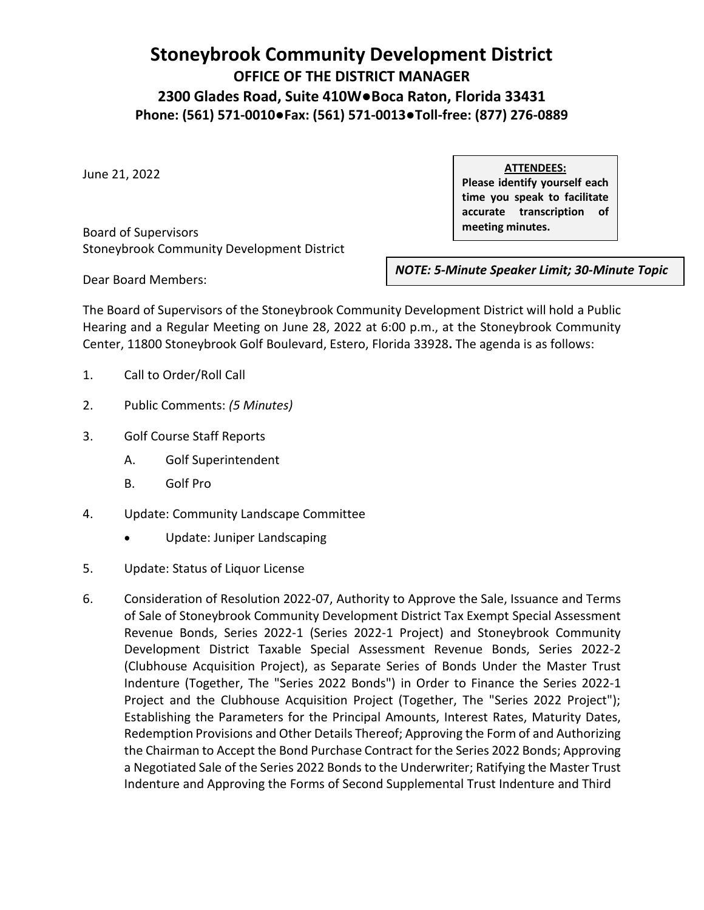## **Stoneybrook Community Development District OFFICE OF THE DISTRICT MANAGER 2300 Glades Road, Suite 410W●Boca Raton, Florida 33431 Phone: (561) 571-0010●Fax: (561) 571-0013●Toll-free: (877) 276-0889**

June 21, 2022

**ATTENDEES:**

**Please identify yourself each time you speak to facilitate accurate transcription of meeting minutes.**

Board of Supervisors Stoneybrook Community Development District

*NOTE: 5-Minute Speaker Limit; 30-Minute Topic* 

The Board of Supervisors of the Stoneybrook Community Development District will hold a Public Hearing and a Regular Meeting on June 28, 2022 at 6:00 p.m., at the Stoneybrook Community Center, 11800 Stoneybrook Golf Boulevard, Estero, Florida 33928**.** The agenda is as follows:

*Limit*

1. Call to Order/Roll Call

Dear Board Members:

- 2. Public Comments: *(5 Minutes)*
- 3. Golf Course Staff Reports
	- A. Golf Superintendent
	- B. Golf Pro
- 4. Update: Community Landscape Committee
	- Update: Juniper Landscaping
- 5. Update: Status of Liquor License
- 6. Consideration of Resolution 2022-07, Authority to Approve the Sale, Issuance and Terms of Sale of Stoneybrook Community Development District Tax Exempt Special Assessment Revenue Bonds, Series 2022-1 (Series 2022-1 Project) and Stoneybrook Community Development District Taxable Special Assessment Revenue Bonds, Series 2022-2 (Clubhouse Acquisition Project), as Separate Series of Bonds Under the Master Trust Indenture (Together, The "Series 2022 Bonds") in Order to Finance the Series 2022-1 Project and the Clubhouse Acquisition Project (Together, The "Series 2022 Project"); Establishing the Parameters for the Principal Amounts, Interest Rates, Maturity Dates, Redemption Provisions and Other Details Thereof; Approving the Form of and Authorizing the Chairman to Accept the Bond Purchase Contract for the Series 2022 Bonds; Approving a Negotiated Sale of the Series 2022 Bonds to the Underwriter; Ratifying the Master Trust Indenture and Approving the Forms of Second Supplemental Trust Indenture and Third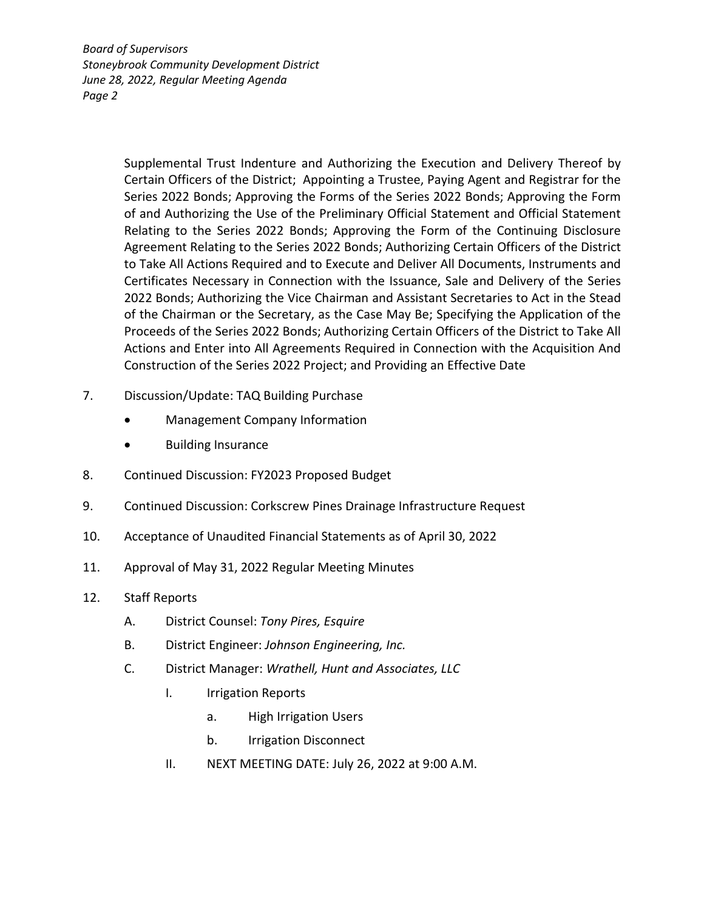*Board of Supervisors Stoneybrook Community Development District June 28, 2022, Regular Meeting Agenda Page 2*

> Supplemental Trust Indenture and Authorizing the Execution and Delivery Thereof by Certain Officers of the District; Appointing a Trustee, Paying Agent and Registrar for the Series 2022 Bonds; Approving the Forms of the Series 2022 Bonds; Approving the Form of and Authorizing the Use of the Preliminary Official Statement and Official Statement Relating to the Series 2022 Bonds; Approving the Form of the Continuing Disclosure Agreement Relating to the Series 2022 Bonds; Authorizing Certain Officers of the District to Take All Actions Required and to Execute and Deliver All Documents, Instruments and Certificates Necessary in Connection with the Issuance, Sale and Delivery of the Series 2022 Bonds; Authorizing the Vice Chairman and Assistant Secretaries to Act in the Stead of the Chairman or the Secretary, as the Case May Be; Specifying the Application of the Proceeds of the Series 2022 Bonds; Authorizing Certain Officers of the District to Take All Actions and Enter into All Agreements Required in Connection with the Acquisition And Construction of the Series 2022 Project; and Providing an Effective Date

- 7. Discussion/Update: TAQ Building Purchase
	- Management Company Information
	- Building Insurance
- 8. Continued Discussion: FY2023 Proposed Budget
- 9. Continued Discussion: Corkscrew Pines Drainage Infrastructure Request
- 10. Acceptance of Unaudited Financial Statements as of April 30, 2022
- 11. Approval of May 31, 2022 Regular Meeting Minutes
- 12. Staff Reports
	- A. District Counsel: *Tony Pires, Esquire*
	- B. District Engineer: *Johnson Engineering, Inc.*
	- C. District Manager: *Wrathell, Hunt and Associates, LLC*
		- I. Irrigation Reports
			- a. High Irrigation Users
			- b. Irrigation Disconnect
		- II. NEXT MEETING DATE: July 26, 2022 at 9:00 A.M.